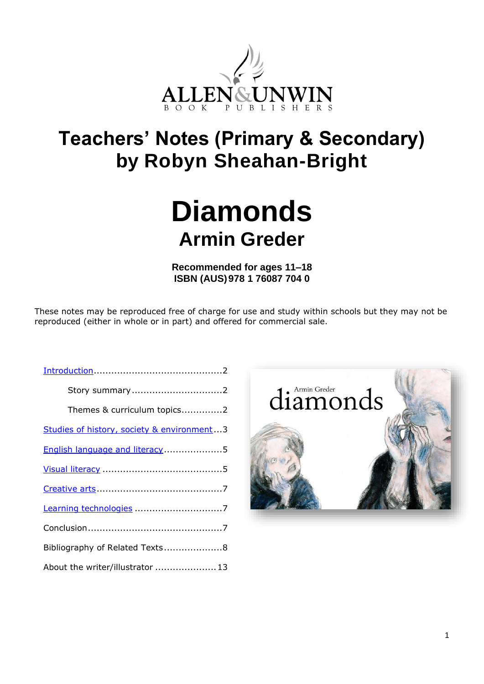

## **Teachers' Notes (Primary & Secondary) by Robyn Sheahan-Bright**

# **Diamonds Armin Greder**

**Recommended for ages 11–18 ISBN (AUS)978 1 76087 704 0**

These notes may be reproduced free of charge for use and study within schools but they may not be reproduced (either in whole or in part) and offered for commercial sale.

| Story summary2                             |  |
|--------------------------------------------|--|
| Themes & curriculum topics2                |  |
| Studies of history, society & environment3 |  |
| English language and literacy5             |  |
|                                            |  |
|                                            |  |
|                                            |  |
|                                            |  |
| Bibliography of Related Texts8             |  |
| About the writer/illustrator  13           |  |

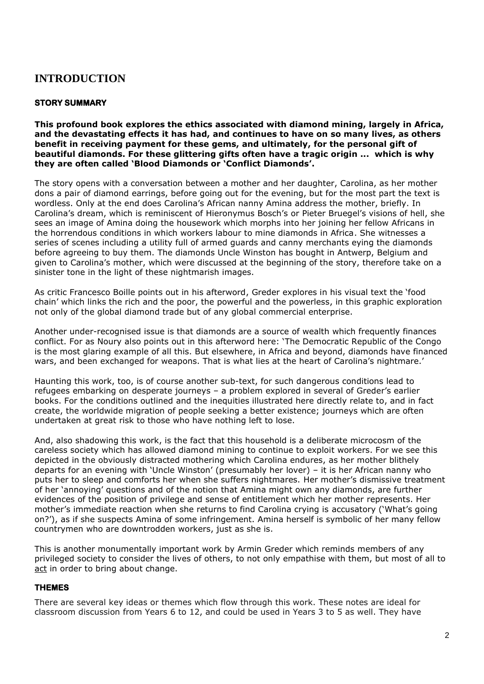## <span id="page-1-0"></span>**INTRODUCTION**

## **STORY SUMMARY**

**This profound book explores the ethics associated with diamond mining, largely in Africa, and the devastating effects it has had, and continues to have on so many lives, as others benefit in receiving payment for these gems, and ultimately, for the personal gift of beautiful diamonds. For these glittering gifts often have a tragic origin ... which is why they are often called 'Blood Diamonds or 'Conflict Diamonds'.**

The story opens with a conversation between a mother and her daughter, Carolina, as her mother dons a pair of diamond earrings, before going out for the evening, but for the most part the text is wordless. Only at the end does Carolina's African nanny Amina address the mother, briefly. In Carolina's dream, which is reminiscent of Hieronymus Bosch's or Pieter Bruegel's visions of hell, she sees an image of Amina doing the housework which morphs into her joining her fellow Africans in the horrendous conditions in which workers labour to mine diamonds in Africa. She witnesses a series of scenes including a utility full of armed guards and canny merchants eying the diamonds before agreeing to buy them. The diamonds Uncle Winston has bought in Antwerp, Belgium and given to Carolina's mother, which were discussed at the beginning of the story, therefore take on a sinister tone in the light of these nightmarish images.

As critic Francesco Boille points out in his afterword, Greder explores in his visual text the 'food chain' which links the rich and the poor, the powerful and the powerless, in this graphic exploration not only of the global diamond trade but of any global commercial enterprise.

Another under-recognised issue is that diamonds are a source of wealth which frequently finances conflict. For as Noury also points out in this afterword here: 'The Democratic Republic of the Congo is the most glaring example of all this. But elsewhere, in Africa and beyond, diamonds have financed wars, and been exchanged for weapons. That is what lies at the heart of Carolina's nightmare.'

Haunting this work, too, is of course another sub-text, for such dangerous conditions lead to refugees embarking on desperate journeys – a problem explored in several of Greder's earlier books. For the conditions outlined and the inequities illustrated here directly relate to, and in fact create, the worldwide migration of people seeking a better existence; journeys which are often undertaken at great risk to those who have nothing left to lose.

And, also shadowing this work, is the fact that this household is a deliberate microcosm of the careless society which has allowed diamond mining to continue to exploit workers. For we see this depicted in the obviously distracted mothering which Carolina endures, as her mother blithely departs for an evening with 'Uncle Winston' (presumably her lover) – it is her African nanny who puts her to sleep and comforts her when she suffers nightmares. Her mother's dismissive treatment of her 'annoying' questions and of the notion that Amina might own any diamonds, are further evidences of the position of privilege and sense of entitlement which her mother represents. Her mother's immediate reaction when she returns to find Carolina crying is accusatory ('What's going on?'), as if she suspects Amina of some infringement. Amina herself is symbolic of her many fellow countrymen who are downtrodden workers, just as she is.

This is another monumentally important work by Armin Greder which reminds members of any privileged society to consider the lives of others, to not only empathise with them, but most of all to act in order to bring about change.

## **THEMES**

There are several key ideas or themes which flow through this work. These notes are ideal for classroom discussion from Years 6 to 12, and could be used in Years 3 to 5 as well. They have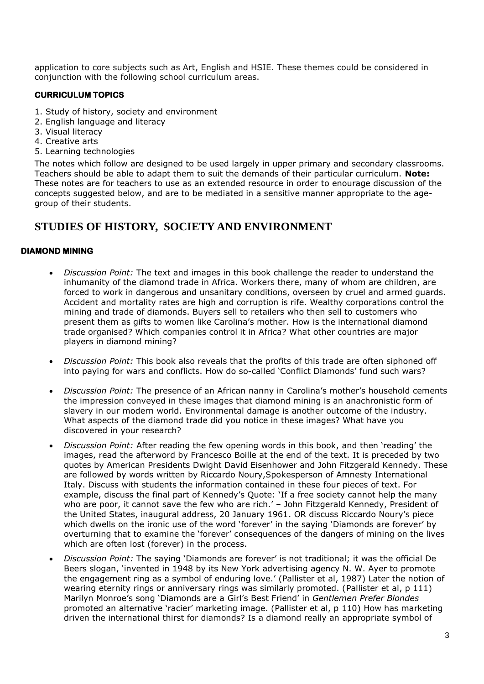application to core subjects such as Art, English and HSIE. These themes could be considered in conjunction with the following school curriculum areas.

## **CURRICULUM TOPICS**

- 1. Study of history, society and environment
- 2. English language and literacy
- 3. Visual literacy
- 4. Creative arts
- 5. Learning technologies

The notes which follow are designed to be used largely in upper primary and secondary classrooms. Teachers should be able to adapt them to suit the demands of their particular curriculum. **Note:** These notes are for teachers to use as an extended resource in order to enourage discussion of the concepts suggested below, and are to be mediated in a sensitive manner appropriate to the agegroup of their students.

## <span id="page-2-0"></span>**STUDIES OF HISTORY, SOCIETY AND ENVIRONMENT**

#### **DIAMOND MINING**

- *Discussion Point:* The text and images in this book challenge the reader to understand the inhumanity of the diamond trade in Africa. Workers there, many of whom are children, are forced to work in dangerous and unsanitary conditions, overseen by cruel and armed guards. Accident and mortality rates are high and corruption is rife. Wealthy corporations control the mining and trade of diamonds. Buyers sell to retailers who then sell to customers who present them as gifts to women like Carolina's mother. How is the international diamond trade organised? Which companies control it in Africa? What other countries are major players in diamond mining?
- *Discussion Point:* This book also reveals that the profits of this trade are often siphoned off into paying for wars and conflicts. How do so-called 'Conflict Diamonds' fund such wars?
- *Discussion Point:* The presence of an African nanny in Carolina's mother's household cements the impression conveyed in these images that diamond mining is an anachronistic form of slavery in our modern world. Environmental damage is another outcome of the industry. What aspects of the diamond trade did you notice in these images? What have you discovered in your research?
- *Discussion Point:* After reading the few opening words in this book, and then 'reading' the images, read the afterword by Francesco Boille at the end of the text. It is preceded by two quotes by American Presidents Dwight David Eisenhower and John Fitzgerald Kennedy. These are followed by words written by Riccardo Noury,Spokesperson of Amnesty International Italy. Discuss with students the information contained in these four pieces of text. For example, discuss the final part of Kennedy's Quote: 'If a free society cannot help the many who are poor, it cannot save the few who are rich.' – John Fitzgerald Kennedy, President of the United States, inaugural address, 20 January 1961. OR discuss Riccardo Noury's piece which dwells on the ironic use of the word 'forever' in the saying 'Diamonds are forever' by overturning that to examine the 'forever' consequences of the dangers of mining on the lives which are often lost (forever) in the process.
- *Discussion Point:* The saying 'Diamonds are forever' is not traditional; it was the official De Beers slogan, 'invented in 1948 by its New York advertising agency N. W. Ayer to promote the engagement ring as a symbol of enduring love.' (Pallister et al, 1987) Later the notion of wearing eternity rings or anniversary rings was similarly promoted. (Pallister et al, p 111) Marilyn Monroe's song 'Diamonds are a Girl's Best Friend' in *Gentlemen Prefer Blondes* promoted an alternative 'racier' marketing image. (Pallister et al, p 110) How has marketing driven the international thirst for diamonds? Is a diamond really an appropriate symbol of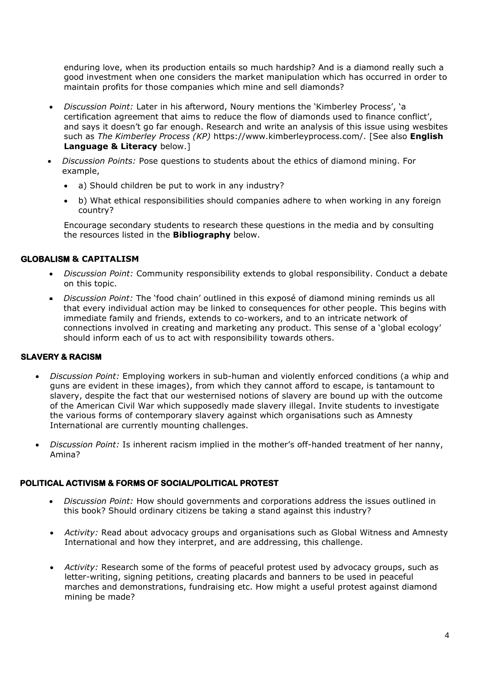enduring love, when its production entails so much hardship? And is a diamond really such a good investment when one considers the market manipulation which has occurred in order to maintain profits for those companies which mine and sell diamonds?

- *Discussion Point:* Later in his afterword, Noury mentions the 'Kimberley Process', 'a certification agreement that aims to reduce the flow of diamonds used to finance conflict', and says it doesn't go far enough. Research and write an analysis of this issue using wesbites such as *The Kimberley Process (KP)* https://www.kimberleyprocess.com/. [See also **English Language & Literacy** below.]
- *Discussion Points:* Pose questions to students about the ethics of diamond mining. For example,
	- a) Should children be put to work in any industry?
	- b) What ethical responsibilities should companies adhere to when working in any foreign country?

Encourage secondary students to research these questions in the media and by consulting the resources listed in the **Bibliography** below.

## **GLOBALISM & CAPITALISM**

- *Discussion Point:* Community responsibility extends to global responsibility. Conduct a debate on this topic.
- *Discussion Point:* The 'food chain' outlined in this exposé of diamond mining reminds us all that every individual action may be linked to consequences for other people. This begins with immediate family and friends, extends to co-workers, and to an intricate network of connections involved in creating and marketing any product. This sense of a 'global ecology' should inform each of us to act with responsibility towards others.

## **SLAVERY & RACISM**

- *Discussion Point:* Employing workers in sub-human and violently enforced conditions (a whip and guns are evident in these images), from which they cannot afford to escape, is tantamount to slavery, despite the fact that our westernised notions of slavery are bound up with the outcome of the American Civil War which supposedly made slavery illegal. Invite students to investigate the various forms of contemporary slavery against which organisations such as Amnesty International are currently mounting challenges.
- *Discussion Point:* Is inherent racism implied in the mother's off-handed treatment of her nanny, Amina?

## **POLITICAL ACTIVISM & FORMS OF SOCIAL/POLITICAL PROTEST**

- *Discussion Point:* How should governments and corporations address the issues outlined in this book? Should ordinary citizens be taking a stand against this industry?
- *Activity:* Read about advocacy groups and organisations such as Global Witness and Amnesty International and how they interpret, and are addressing, this challenge.
- *Activity:* Research some of the forms of peaceful protest used by advocacy groups, such as letter-writing, signing petitions, creating placards and banners to be used in peaceful marches and demonstrations, fundraising etc. How might a useful protest against diamond mining be made?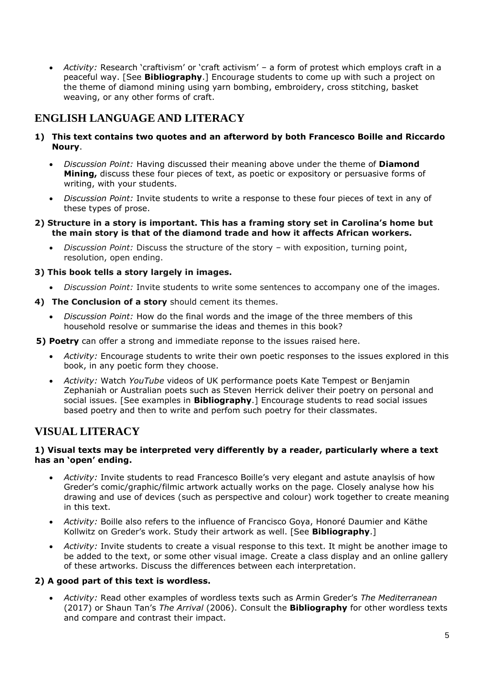• *Activity:* Research 'craftivism' or 'craft activism' – a form of protest which employs craft in a peaceful way. [See **Bibliography**.] Encourage students to come up with such a project on the theme of diamond mining using yarn bombing, embroidery, cross stitching, basket weaving, or any other forms of craft.

## <span id="page-4-0"></span>**ENGLISH LANGUAGE AND LITERACY**

- **1) This text contains two quotes and an afterword by both Francesco Boille and Riccardo Noury**.
	- *Discussion Point:* Having discussed their meaning above under the theme of **Diamond Mining,** discuss these four pieces of text, as poetic or expository or persuasive forms of writing, with your students.
	- *Discussion Point:* Invite students to write a response to these four pieces of text in any of these types of prose.
- **2) Structure in a story is important. This has a framing story set in Carolina's home but the main story is that of the diamond trade and how it affects African workers.** 
	- *Discussion Point:* Discuss the structure of the story with exposition, turning point, resolution, open ending.

## **3) This book tells a story largely in images.**

- *Discussion Point:* Invite students to write some sentences to accompany one of the images.
- **4) The Conclusion of a story** should cement its themes.
	- *Discussion Point:* How do the final words and the image of the three members of this household resolve or summarise the ideas and themes in this book?

**5) Poetry** can offer a strong and immediate reponse to the issues raised here.

- <span id="page-4-1"></span>• *Activity:* Encourage students to write their own poetic responses to the issues explored in this book, in any poetic form they choose.
- *Activity:* Watch *YouTube* videos of UK performance poets Kate Tempest or Benjamin Zephaniah or Australian poets such as Steven Herrick deliver their poetry on personal and social issues. [See examples in **Bibliography**.] Encourage students to read social issues based poetry and then to write and perfom such poetry for their classmates.

## **VISUAL LITERACY**

#### **1) Visual texts may be interpreted very differently by a reader, particularly where a text has an 'open' ending.**

- *Activity:* Invite students to read Francesco Boille's very elegant and astute anaylsis of how Greder's comic/graphic/filmic artwork actually works on the page. Closely analyse how his drawing and use of devices (such as perspective and colour) work together to create meaning in this text.
- *Activity:* Boille also refers to the influence of Francisco Goya, Honoré Daumier and Käthe Kollwitz on Greder's work. Study their artwork as well. [See **Bibliography**.]
- *Activity:* Invite students to create a visual response to this text. It might be another image to be added to the text, or some other visual image. Create a class display and an online gallery of these artworks. Discuss the differences between each interpretation.

## **2) A good part of this text is wordless.**

• *Activity:* Read other examples of wordless texts such as Armin Greder's *The Mediterranean* (2017) or Shaun Tan's *The Arrival* (2006). Consult the **Bibliography** for other wordless texts and compare and contrast their impact.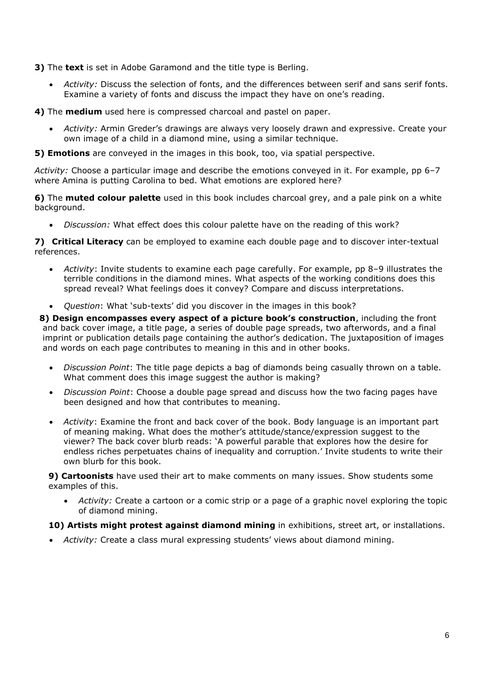**3)** The **text** is set in Adobe Garamond and the title type is Berling.

• *Activity:* Discuss the selection of fonts, and the differences between serif and sans serif fonts. Examine a variety of fonts and discuss the impact they have on one's reading.

**4)** The **medium** used here is compressed charcoal and pastel on paper.

• *Activity:* Armin Greder's drawings are always very loosely drawn and expressive. Create your own image of a child in a diamond mine, using a similar technique.

**5) Emotions** are conveyed in the images in this book, too, via spatial perspective.

*Activity:* Choose a particular image and describe the emotions conveyed in it. For example, pp 6–7 where Amina is putting Carolina to bed. What emotions are explored here?

**6)** The **muted colour palette** used in this book includes charcoal grey, and a pale pink on a white background.

• *Discussion:* What effect does this colour palette have on the reading of this work?

**7) Critical Literacy** can be employed to examine each double page and to discover inter-textual references.

- *Activity*: Invite students to examine each page carefully. For example, pp 8–9 illustrates the terrible conditions in the diamond mines. What aspects of the working conditions does this spread reveal? What feelings does it convey? Compare and discuss interpretations.
- *Question*: What 'sub-texts' did you discover in the images in this book?

 **8) Design encompasses every aspect of a picture book's construction**, including the front and back cover image, a title page, a series of double page spreads, two afterwords, and a final imprint or publication details page containing the author's dedication. The juxtaposition of images and words on each page contributes to meaning in this and in other books.

- *Discussion Point*: The title page depicts a bag of diamonds being casually thrown on a table. What comment does this image suggest the author is making?
- *Discussion Point*: Choose a double page spread and discuss how the two facing pages have been designed and how that contributes to meaning.
- *Activity*: Examine the front and back cover of the book. Body language is an important part of meaning making. What does the mother's attitude/stance/expression suggest to the viewer? The back cover blurb reads: 'A powerful parable that explores how the desire for endless riches perpetuates chains of inequality and corruption.' Invite students to write their own blurb for this book.

**9) Cartoonists** have used their art to make comments on many issues. Show students some examples of this.

• *Activity:* Create a cartoon or a comic strip or a page of a graphic novel exploring the topic of diamond mining.

## **10) Artists might protest against diamond mining** in exhibitions, street art, or installations.

<span id="page-5-0"></span>• *Activity:* Create a class mural expressing students' views about diamond mining.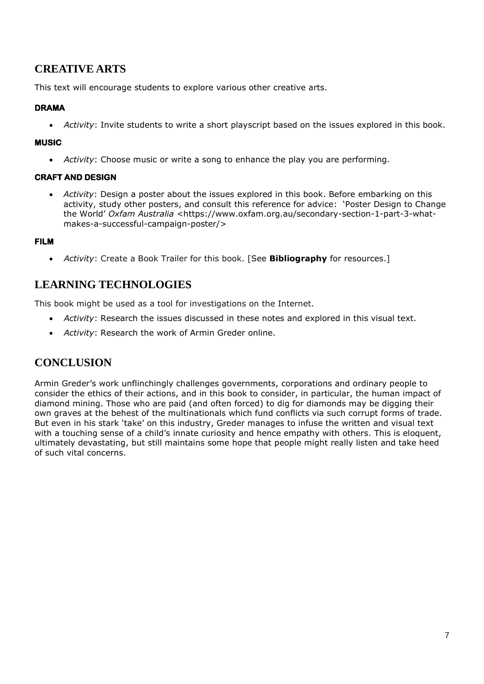## **CREATIVE ARTS**

This text will encourage students to explore various other creative arts.

## **DRAMA**

• *Activity*: Invite students to write a short playscript based on the issues explored in this book.

## **MUSIC**

• *Activity*: Choose music or write a song to enhance the play you are performing.

## **CRAFT AND DESIGN**

• *Activity*: Design a poster about the issues explored in this book. Before embarking on this activity, study other posters, and consult this reference for advice: 'Poster Design to Change the World' *Oxfam Australia* <https://www.oxfam.org.au/secondary-section-1-part-3-whatmakes-a-successful-campaign-poster/>

## **FILM**

• *Activity*: Create a Book Trailer for this book. [See **[Bibliography](#page-6-2)** for resources.]

## <span id="page-6-0"></span>**LEARNING TECHNOLOGIES**

This book might be used as a tool for investigations on the Internet.

- *Activity*: Research the issues discussed in these notes and explored in this visual text.
- *Activity*: Research the work of Armin Greder online.

## <span id="page-6-1"></span>**CONCLUSION**

<span id="page-6-2"></span>Armin Greder's work unflinchingly challenges governments, corporations and ordinary people to consider the ethics of their actions, and in this book to consider, in particular, the human impact of diamond mining. Those who are paid (and often forced) to dig for diamonds may be digging their own graves at the behest of the multinationals which fund conflicts via such corrupt forms of trade. But even in his stark 'take' on this industry, Greder manages to infuse the written and visual text with a touching sense of a child's innate curiosity and hence empathy with others. This is eloquent, ultimately devastating, but still maintains some hope that people might really listen and take heed of such vital concerns.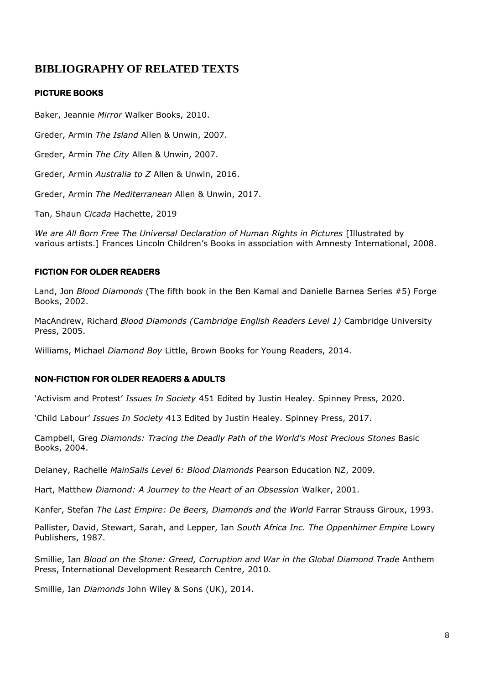## **BIBLIOGRAPHY OF RELATED TEXTS**

## **PICTURE BOOKS**

Baker, Jeannie *Mirror* Walker Books, 2010.

Greder, Armin *The Island* Allen & Unwin, 2007.

Greder, Armin *The City* Allen & Unwin, 2007.

Greder, Armin *Australia to Z* Allen & Unwin, 2016.

Greder, Armin *The Mediterranean* Allen & Unwin, 2017.

Tan, Shaun *Cicada* Hachette, 2019

We are All Born Free The Universal Declaration of Human Rights in Pictures [Illustrated by various artists.] Frances Lincoln Children's Books in association with Amnesty International, 2008.

## **FICTION FOR OLDER READERS**

Land, Jon *Blood Diamonds* (The fifth book in the Ben Kamal and Danielle Barnea Series #5) Forge Books, 2002.

MacAndrew, Richard *Blood Diamonds (Cambridge English Readers Level 1)* Cambridge University Press, 2005.

Williams, Michael *Diamond Boy* Little, Brown Books for Young Readers, 2014.

## **NON-FICTION FOR OLDER READERS & ADULTS**

'Activism and Protest' *Issues In Society* 451 Edited by Justin Healey. Spinney Press, 2020.

'Child Labour' *Issues In Society* 413 Edited by Justin Healey. Spinney Press, 2017.

Campbell, Greg *Diamonds: Tracing the Deadly Path of the World's Most Precious Stones* Basic Books, 2004.

Delaney, Rachelle *MainSails Level 6: Blood Diamonds* Pearson Education NZ, 2009.

Hart, Matthew *Diamond: A Journey to the Heart of an Obsession* Walker, 2001.

Kanfer, Stefan *The Last Empire: De Beers, Diamonds and the World* Farrar Strauss Giroux, 1993.

Pallister, David, Stewart, Sarah, and Lepper, Ian *South Africa Inc. The Oppenhimer Empire* Lowry Publishers, 1987.

Smillie, Ian *Blood on the Stone: Greed, Corruption and War in the Global Diamond Trade* Anthem Press, International Development Research Centre, 2010.

Smillie, Ian *Diamonds* John Wiley & Sons (UK), 2014.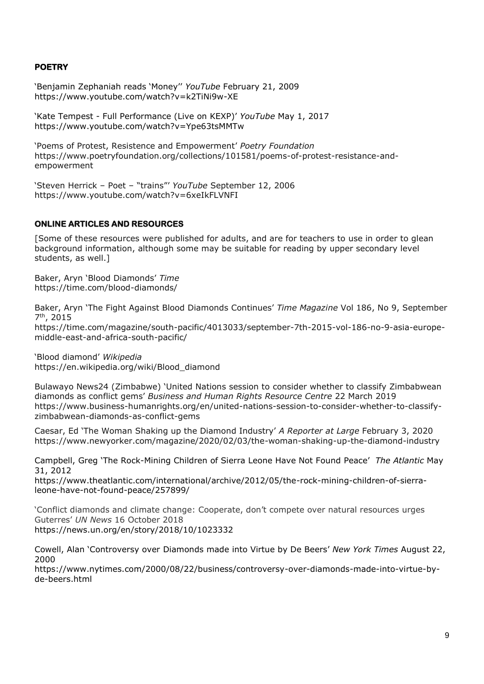## **POETRY**

'Benjamin Zephaniah reads 'Money'' *YouTube* February 21, 2009 https://www.youtube.com/watch?v=k2TiNi9w-XE

'Kate Tempest - Full Performance (Live on KEXP)' *YouTube* May 1, 2017 https://www.youtube.com/watch?v=Ype63tsMMTw

'Poems of Protest, Resistence and Empowerment' *Poetry Foundation* https://www.poetryfoundation.org/collections/101581/poems-of-protest-resistance-andempowerment

'Steven Herrick – Poet – "trains"' *YouTube* September 12, 2006 https://www.youtube.com/watch?v=6xeIkFLVNFI

#### **ONLINE ARTICLES AND RESOURCES**

[Some of these resources were published for adults, and are for teachers to use in order to glean background information, although some may be suitable for reading by upper secondary level students, as well.]

Baker, Aryn 'Blood Diamonds' *Time* https://time.com/blood-diamonds/

Baker, Aryn 'The Fight Against Blood Diamonds Continues' *Time Magazine* Vol 186, No 9, September 7 th, 2015

https://time.com/magazine/south-pacific/4013033/september-7th-2015-vol-186-no-9-asia-europemiddle-east-and-africa-south-pacific/

'Blood diamond' *Wikipedia* https://en.wikipedia.org/wiki/Blood\_diamond

Bulawayo News24 (Zimbabwe) 'United Nations session to consider whether to classify Zimbabwean diamonds as conflict gems' *Business and Human Rights Resource Centre* 22 March 2019 https://www.business-humanrights.org/en/united-nations-session-to-consider-whether-to-classifyzimbabwean-diamonds-as-conflict-gems

Caesar, Ed 'The Woman Shaking up the Diamond Industry' *A Reporter at Large* February 3, 2020 https://www.newyorker.com/magazine/2020/02/03/the-woman-shaking-up-the-diamond-industry

Campbell, Greg 'The Rock-Mining Children of Sierra Leone Have Not Found Peace' *The Atlantic* May 31, 2012

https://www.theatlantic.com/international/archive/2012/05/the-rock-mining-children-of-sierraleone-have-not-found-peace/257899/

'Conflict diamonds and climate change: Cooperate, don't compete over natural resources urges Guterres' *UN News* 16 October 2018 https://news.un.org/en/story/2018/10/1023332

Cowell, Alan 'Controversy over Diamonds made into Virtue by De Beers' *New York Times* August 22, 2000

[https://www.nytimes.com/2000/08/22/business/controversy-over-diamonds-made-into-virtue-by](about:blank)[de-beers.html](about:blank)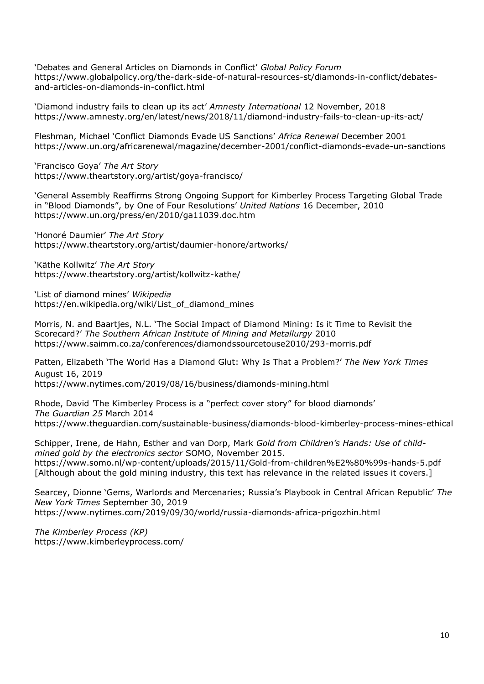'Debates and General Articles on Diamonds in Conflict' *Global Policy Forum* https://www.globalpolicy.org/the-dark-side-of-natural-resources-st/diamonds-in-conflict/debatesand-articles-on-diamonds-in-conflict.html

'Diamond industry fails to clean up its act' *Amnesty International* 12 November, 2018 https://www.amnesty.org/en/latest/news/2018/11/diamond-industry-fails-to-clean-up-its-act/

Fleshman, Michael 'Conflict Diamonds Evade US Sanctions' *Africa Renewal* December 2001 https://www.un.org/africarenewal/magazine/december-2001/conflict-diamonds-evade-un-sanctions

'Francisco Goya' *The Art Story* https://www.theartstory.org/artist/goya-francisco/

'General Assembly Reaffirms Strong Ongoing Support for Kimberley Process Targeting Global Trade in "Blood Diamonds", by One of Four Resolutions' *United Nations* 16 December, 2010 https://www.un.org/press/en/2010/ga11039.doc.htm

'Honoré Daumier' *The Art Story* https://www.theartstory.org/artist/daumier-honore/artworks/

'Käthe Kollwitz' *The Art Story* https://www.theartstory.org/artist/kollwitz-kathe/

'List of diamond mines' *Wikipedia* https://en.wikipedia.org/wiki/List\_of\_diamond\_mines

Morris, N. and Baartjes, N.L. 'The Social Impact of Diamond Mining: Is it Time to Revisit the Scorecard?' *The Southern African Institute of Mining and Metallurgy* 2010 https://www.saimm.co.za/conferences/diamondssourcetouse2010/293-morris.pdf

Patten, Elizabeth 'The World Has a Diamond Glut: Why Is That a Problem?' *The New York Times* August 16, 2019 https://www.nytimes.com/2019/08/16/business/diamonds-mining.html

Rhode, David *'*The Kimberley Process is a "perfect cover story" for blood diamonds' *The Guardian 25* March 2014 https://www.theguardian.com/sustainable-business/diamonds-blood-kimberley-process-mines-ethical

Schipper, Irene, de Hahn, Esther and van Dorp, Mark *Gold from Children's Hands: Use of childmined gold by the electronics sector* SOMO, November 2015. https://www.somo.nl/wp-content/uploads/2015/11/Gold-from-children%E2%80%99s-hands-5.pdf [Although about the gold mining industry, this text has relevance in the related issues it covers.]

Searcey, Dionne 'Gems, Warlords and Mercenaries; Russia's Playbook in Central African Republic' *The New York Times* September 30, 2019 https://www.nytimes.com/2019/09/30/world/russia-diamonds-africa-prigozhin.html

*The Kimberley Process (KP)* https://www.kimberleyprocess.com/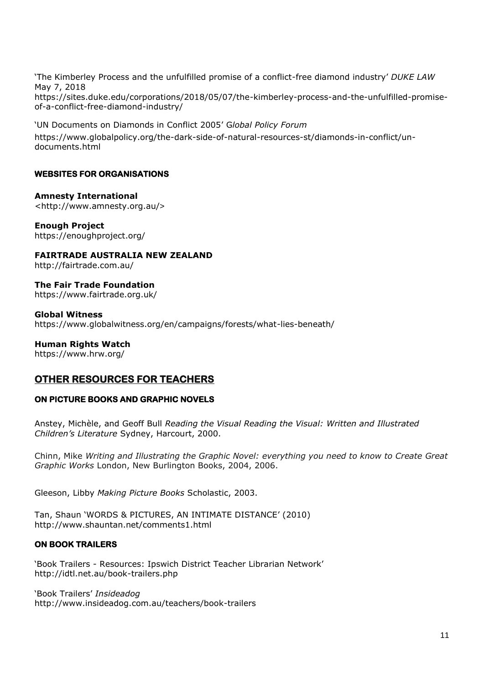'The Kimberley Process and the unfulfilled promise of a conflict-free diamond industry' *DUKE LAW* May 7, 2018 https://sites.duke.edu/corporations/2018/05/07/the-kimberley-process-and-the-unfulfilled-promise-

'UN Documents on Diamonds in Conflict 2005' G*lobal Policy Forum* https://www.globalpolicy.org/the-dark-side-of-natural-resources-st/diamonds-in-conflict/undocuments.html

## **WEBSITES FOR ORGANISATIONS**

of-a-conflict-free-diamond-industry/

**Amnesty International**  [<http://www.amnesty.org.au/](about:blank)>

**Enough Project** https://enoughproject.org/

**FAIRTRADE AUSTRALIA NEW ZEALAND**  http://fairtrade.com.au/

**The Fair Trade Foundation** https://www.fairtrade.org.uk/

**Global Witness** https://www.globalwitness.org/en/campaigns/forests/what-lies-beneath/

**Human Rights Watch** 

https://www.hrw.org/

## **OTHER RESOURCES FOR TEACHERS**

## **ON PICTURE BOOKS AND GRAPHIC NOVELS**

Anstey, Michèle, and Geoff Bull *Reading the Visual Reading the Visual: Written and Illustrated Children's Literature* Sydney, Harcourt, 2000.

Chinn, Mike *Writing and Illustrating the Graphic Novel: everything you need to know to Create Great Graphic Works* London, New Burlington Books, 2004, 2006.

Gleeson, Libby *Making Picture Books* Scholastic, 2003.

Tan, Shaun 'WORDS & PICTURES, AN INTIMATE DISTANCE' (2010) http://www.shauntan.net/comments1.html

## **ON BOOK TRAILERS**

'Book Trailers - Resources: Ipswich District Teacher Librarian Network' [http://idtl.net.au/book-trailers.php](about:blank)

'Book Trailers' *Insideadog*  [http://www.insideadog.com.au/teachers/book-trailers](about:blank)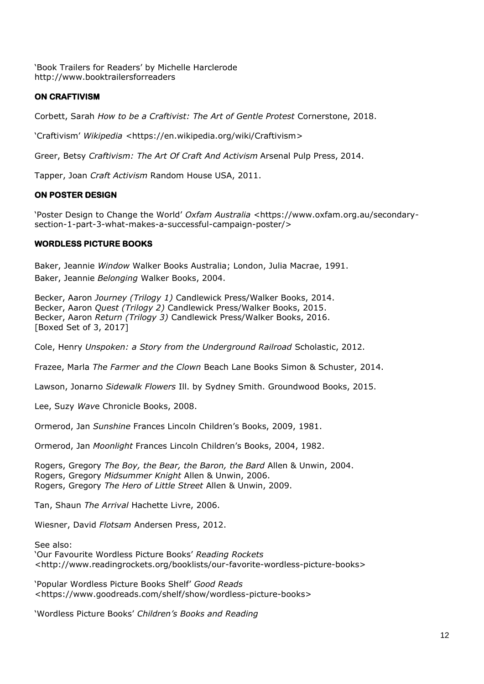'Book Trailers for Readers' by Michelle Harclerode [http://www.booktrailersforreaders](about:blank)

## **ON CRAFTIVISM**

Corbett, Sarah *How to be a Craftivist: The Art of Gentle Protest* Cornerstone, 2018.

'Craftivism' *Wikipedia <*[https://en.wikipedia.org/wiki/Craftivism>](about:blank)

Greer, Betsy *Craftivism: The Art Of Craft And Activism* Arsenal Pulp Press, 2014.

Tapper, Joan *Craft Activism* Random House USA, 2011.

## **ON POSTER DESIGN**

'Poster Design to Change the World' *Oxfam Australia* <https://www.oxfam.org.au/secondarysection-1-part-3-what-makes-a-successful-campaign-poster/>

## **WORDLESS PICTURE BOOKS**

Baker, Jeannie *Window* Walker Books Australia; London, Julia Macrae, 1991. Baker, Jeannie *Belonging* Walker Books, 2004.

Becker, Aaron *Journey (Trilogy 1)* Candlewick Press/Walker Books, 2014. Becker, Aaron *Quest (Trilogy 2)* Candlewick Press/Walker Books, 2015. Becker, Aaron *Return (Trilogy 3)* Candlewick Press/Walker Books, 2016. [Boxed Set of 3, 2017]

Cole, Henry *Unspoken: a Story from the Underground Railroad* Scholastic, 2012.

Frazee, Marla *The Farmer and the Clown* Beach Lane Books Simon & Schuster, 2014.

Lawson, Jonarno *Sidewalk Flowers* Ill. by Sydney Smith. Groundwood Books, 2015.

Lee, Suzy *Wav*e Chronicle Books, 2008.

Ormerod, Jan *Sunshine* Frances Lincoln Children's Books, 2009, 1981.

Ormerod, Jan *Moonlight* Frances Lincoln Children's Books, 2004, 1982.

Rogers, Gregory *The Boy, the Bear, the Baron, the Bard* Allen & Unwin, 2004. Rogers, Gregory *Midsummer Knight* Allen & Unwin, 2006. Rogers, Gregory *The Hero of Little Street* Allen & Unwin, 2009.

Tan, Shaun *The Arrival* Hachette Livre, 2006.

Wiesner, David *Flotsam* Andersen Press, 2012.

See also:

'Our Favourite Wordless Picture Books' *Reading Rockets* [<http://www.readingrockets.org/booklists/our-favorite-wordless-picture-books>](about:blank)

'Popular Wordless Picture Books Shelf' *Good Reads*  [<https://www.goodreads.com/shelf/show/wordless-picture-books>](about:blank)

'Wordless Picture Books' *Children's Books and Reading*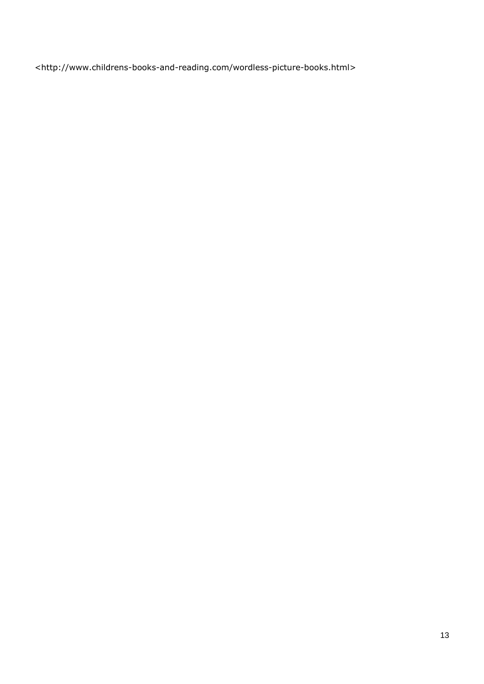<http://www.childrens-books-and-reading.com/wordless-picture-books.html>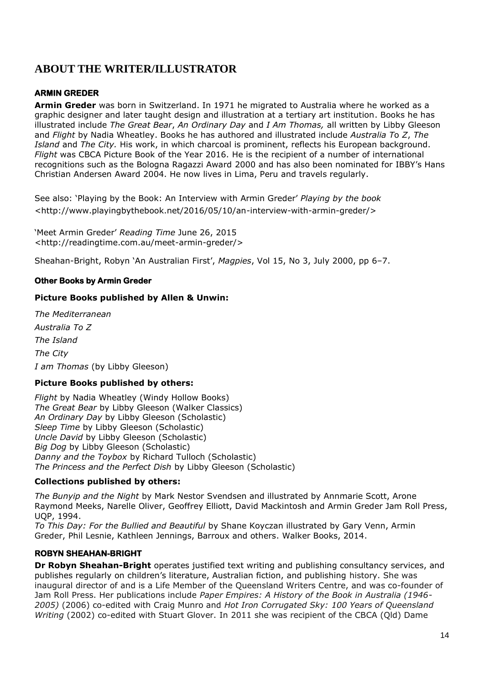## **ABOUT THE WRITER/ILLUSTRATOR**

## **ARMIN GREDER**

**Armin Greder** was born in Switzerland. In 1971 he migrated to Australia where he worked as a graphic designer and later taught design and illustration at a tertiary art institution. Books he has illustrated include *The Great Bear*, *An Ordinary Day* and *I Am Thomas,* all written by Libby Gleeson and *Flight* by Nadia Wheatley. Books he has authored and illustrated include *Australia T*o *Z*, *The Island* and *The City.* His work, in which charcoal is prominent, reflects his European background. *Flight* was CBCA Picture Book of the Year 2016. He is the recipient of a number of international recognitions such as the Bologna Ragazzi Award 2000 and has also been nominated for IBBY's Hans Christian Andersen Award 2004. He now lives in Lima, Peru and travels regularly.

See also: 'Playing by the Book: An Interview with Armin Greder' *Playing by the book* [<http://www.playingbythebook.net/2016/05/10/an-interview-with-armin-greder/>](about:blank)

'Meet Armin Greder' *Reading Time* June 26, 2015 <http://readingtime.com.au/meet-armin-greder/>

Sheahan-Bright, Robyn 'An Australian First', *Magpies*, Vol 15, No 3, July 2000, pp 6–7.

## **Other Books by Armin Greder**

## **Picture Books published by Allen & Unwin:**

*The Mediterranean Australia To Z The Island The City I am Thomas* (by Libby Gleeson)

## **Picture Books published by others:**

*Flight* by Nadia Wheatley (Windy Hollow Books) *The Great Bear* by Libby Gleeson (Walker Classics) *An Ordinary Day* by Libby Gleeson (Scholastic) *Sleep Time* by Libby Gleeson (Scholastic) *Uncle David* by Libby Gleeson (Scholastic) *Big Dog* by Libby Gleeson (Scholastic) *Danny and the Toybox* by Richard Tulloch (Scholastic) *The Princess and the Perfect Dish* by Libby Gleeson (Scholastic)

## **Collections published by others:**

*The Bunyip and the Night* by Mark Nestor Svendsen and illustrated by Annmarie Scott, Arone Raymond Meeks, Narelle Oliver, Geoffrey Elliott, David Mackintosh and Armin Greder Jam Roll Press, UQP, 1994.

*To This Day: For the Bullied and Beautiful* by Shane Koyczan illustrated by Gary Venn, Armin Greder, Phil Lesnie, Kathleen Jennings, Barroux and others. Walker Books, 2014.

## **ROBYN SHEAHAN-BRIGHT**

**Dr Robyn Sheahan-Bright** operates justified text writing and publishing consultancy services, and publishes regularly on children's literature, Australian fiction, and publishing history. She was inaugural director of and is a Life Member of the Queensland Writers Centre, and was co-founder of Jam Roll Press. Her publications include *Paper Empires: A History of the Book in Australia (1946- 2005)* (2006) co-edited with Craig Munro and *Hot Iron Corrugated Sky: 100 Years of Queensland Writing* (2002) co-edited with Stuart Glover. In 2011 she was recipient of the CBCA (Qld) Dame